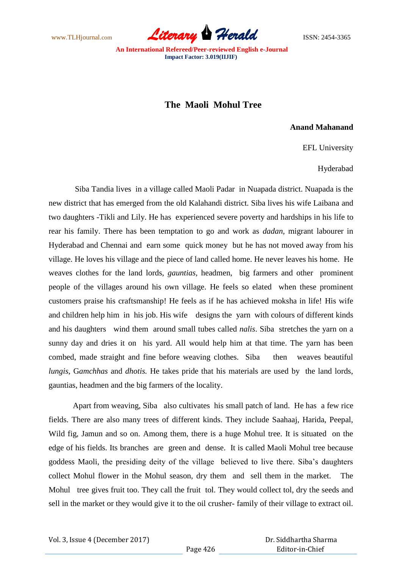www.TLHjournal.com **Literary Herald Herald** ISSN: 2454-3365

## **The Maoli Mohul Tree**

## **Anand Mahanand**

EFL University

Hyderabad

Siba Tandia lives in a village called Maoli Padar in Nuapada district. Nuapada is the new district that has emerged from the old Kalahandi district. Siba lives his wife Laibana and two daughters -Tikli and Lily. He has experienced severe poverty and hardships in his life to rear his family. There has been temptation to go and work as *dadan,* migrant labourer in Hyderabad and Chennai and earn some quick money but he has not moved away from his village. He loves his village and the piece of land called home. He never leaves his home. He weaves clothes for the land lords, *gauntias,* headmen, big farmers and other prominent people of the villages around his own village. He feels so elated when these prominent customers praise his craftsmanship! He feels as if he has achieved moksha in life! His wife and children help him in his job. His wife designs the yarn with colours of different kinds and his daughters wind them around small tubes called *nalis*. Siba stretches the yarn on a sunny day and dries it on his yard. All would help him at that time. The yarn has been combed, made straight and fine before weaving clothes. Siba then weaves beautiful *lungis*, G*amchhas* and *dhotis.* He takes pride that his materials are used by the land lords, gauntias, headmen and the big farmers of the locality.

Apart from weaving, Siba also cultivates his small patch of land. He has a few rice fields. There are also many trees of different kinds. They include Saahaaj, Harida, Peepal, Wild fig, Jamun and so on. Among them, there is a huge Mohul tree. It is situated on the edge of his fields. Its branches are green and dense. It is called Maoli Mohul tree because goddess Maoli, the presiding deity of the village believed to live there. Siba"s daughters collect Mohul flower in the Mohul season, dry them and sell them in the market. The Mohul tree gives fruit too. They call the fruit tol. They would collect tol, dry the seeds and sell in the market or they would give it to the oil crusher- family of their village to extract oil.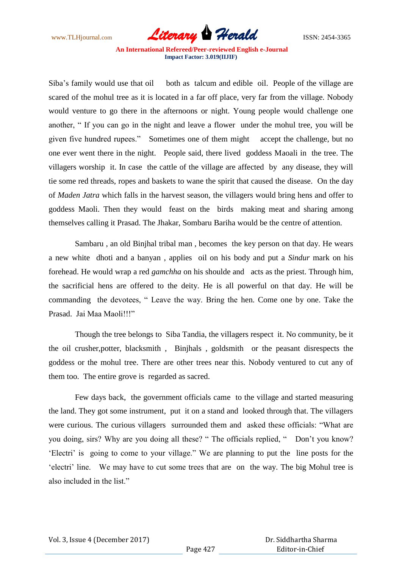www.TLHjournal.com *Literary Herald*ISSN: 2454-3365

Siba's family would use that oil both as talcum and edible oil. People of the village are scared of the mohul tree as it is located in a far off place, very far from the village. Nobody would venture to go there in the afternoons or night. Young people would challenge one another, " If you can go in the night and leave a flower under the mohul tree, you will be given five hundred rupees." Sometimes one of them might accept the challenge, but no one ever went there in the night. People said, there lived goddess Maoali in the tree. The villagers worship it. In case the cattle of the village are affected by any disease, they will tie some red threads, ropes and baskets to wane the spirit that caused the disease. On the day of *Maden Jatra* which falls in the harvest season, the villagers would bring hens and offer to goddess Maoli. Then they would feast on the birds making meat and sharing among themselves calling it Prasad. The Jhakar, Sombaru Bariha would be the centre of attention.

Sambaru , an old Binjhal tribal man , becomes the key person on that day. He wears a new white dhoti and a banyan , applies oil on his body and put a *Sindur* mark on his forehead. He would wrap a red *gamchha* on his shoulde and acts as the priest. Through him, the sacrificial hens are offered to the deity. He is all powerful on that day. He will be commanding the devotees, " Leave the way. Bring the hen. Come one by one. Take the Prasad. Jai Maa Maoli!!!"

Though the tree belongs to Siba Tandia, the villagers respect it. No community, be it the oil crusher,potter, blacksmith , Binjhals , goldsmith or the peasant disrespects the goddess or the mohul tree. There are other trees near this. Nobody ventured to cut any of them too. The entire grove is regarded as sacred.

Few days back, the government officials came to the village and started measuring the land. They got some instrument, put it on a stand and looked through that. The villagers were curious. The curious villagers surrounded them and asked these officials: "What are you doing, sirs? Why are you doing all these? " The officials replied, " Don"t you know? 'Electri' is going to come to your village." We are planning to put the line posts for the 'electri' line. We may have to cut some trees that are on the way. The big Mohul tree is also included in the list."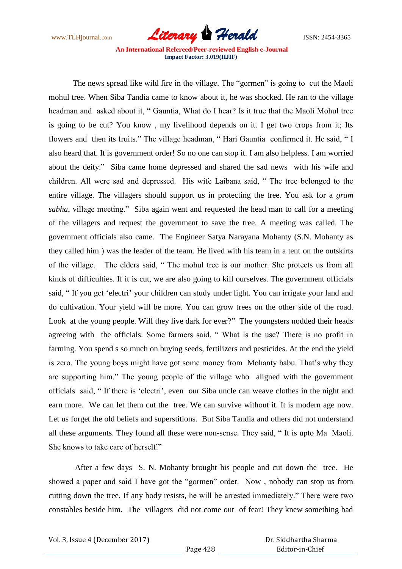www.TLHjournal.com *Literary Herald*ISSN: 2454-3365

The news spread like wild fire in the village. The "gormen" is going to cut the Maoli mohul tree. When Siba Tandia came to know about it, he was shocked. He ran to the village headman and asked about it, " Gauntia, What do I hear? Is it true that the Maoli Mohul tree is going to be cut? You know , my livelihood depends on it. I get two crops from it; Its flowers and then its fruits." The village headman, "Hari Gauntia confirmed it. He said, "I also heard that. It is government order! So no one can stop it. I am also helpless. I am worried about the deity." Siba came home depressed and shared the sad news with his wife and children. All were sad and depressed. His wife Laibana said, " The tree belonged to the entire village. The villagers should support us in protecting the tree. You ask for a *gram sabha*, village meeting." Siba again went and requested the head man to call for a meeting of the villagers and request the government to save the tree. A meeting was called. The government officials also came. The Engineer Satya Narayana Mohanty (S.N. Mohanty as they called him ) was the leader of the team. He lived with his team in a tent on the outskirts of the village. The elders said, " The mohul tree is our mother. She protects us from all kinds of difficulties. If it is cut, we are also going to kill ourselves. The government officials said, "If you get 'electri' your children can study under light. You can irrigate your land and do cultivation. Your yield will be more. You can grow trees on the other side of the road. Look at the young people. Will they live dark for ever?" The youngsters nodded their heads agreeing with the officials. Some farmers said, " What is the use? There is no profit in farming. You spend s so much on buying seeds, fertilizers and pesticides. At the end the yield is zero. The young boys might have got some money from Mohanty babu. That's why they are supporting him." The young people of the village who aligned with the government officials said, " If there is "electri", even our Siba uncle can weave clothes in the night and earn more. We can let them cut the tree. We can survive without it. It is modern age now. Let us forget the old beliefs and superstitions. But Siba Tandia and others did not understand all these arguments. They found all these were non-sense. They said, " It is upto Ma Maoli. She knows to take care of herself."

After a few days S. N. Mohanty brought his people and cut down the tree. He showed a paper and said I have got the "gormen" order. Now , nobody can stop us from cutting down the tree. If any body resists, he will be arrested immediately." There were two constables beside him. The villagers did not come out of fear! They knew something bad